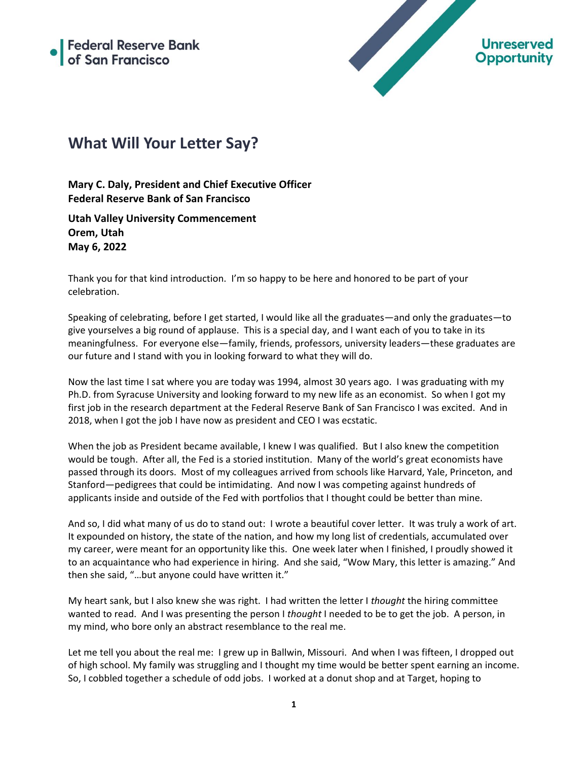

## **What Will Your Letter Say?**

**Mary C. Daly, President and Chief Executive Officer Federal Reserve Bank of San Francisco**

**Utah Valley University Commencement Orem, Utah May 6, 2022**

Thank you for that kind introduction. I'm so happy to be here and honored to be part of your celebration.

Speaking of celebrating, before I get started, I would like all the graduates—and only the graduates—to give yourselves a big round of applause. This is a special day, and I want each of you to take in its meaningfulness. For everyone else—family, friends, professors, university leaders—these graduates are our future and I stand with you in looking forward to what they will do.

Now the last time I sat where you are today was 1994, almost 30 years ago. I was graduating with my Ph.D. from Syracuse University and looking forward to my new life as an economist. So when I got my first job in the research department at the Federal Reserve Bank of San Francisco I was excited. And in 2018, when I got the job I have now as president and CEO I was ecstatic.

When the job as President became available, I knew I was qualified. But I also knew the competition would be tough. After all, the Fed is a storied institution. Many of the world's great economists have passed through its doors. Most of my colleagues arrived from schools like Harvard, Yale, Princeton, and Stanford—pedigrees that could be intimidating. And now I was competing against hundreds of applicants inside and outside of the Fed with portfolios that I thought could be better than mine.

And so, I did what many of us do to stand out: I wrote a beautiful cover letter. It was truly a work of art. It expounded on history, the state of the nation, and how my long list of credentials, accumulated over my career, were meant for an opportunity like this. One week later when I finished, I proudly showed it to an acquaintance who had experience in hiring. And she said, "Wow Mary, this letter is amazing." And then she said, "…but anyone could have written it."

My heart sank, but I also knew she was right. I had written the letter I *thought* the hiring committee wanted to read. And I was presenting the person I *thought* I needed to be to get the job. A person, in my mind, who bore only an abstract resemblance to the real me.

Let me tell you about the real me: I grew up in Ballwin, Missouri. And when I was fifteen, I dropped out of high school. My family was struggling and I thought my time would be better spent earning an income. So, I cobbled together a schedule of odd jobs. I worked at a donut shop and at Target, hoping to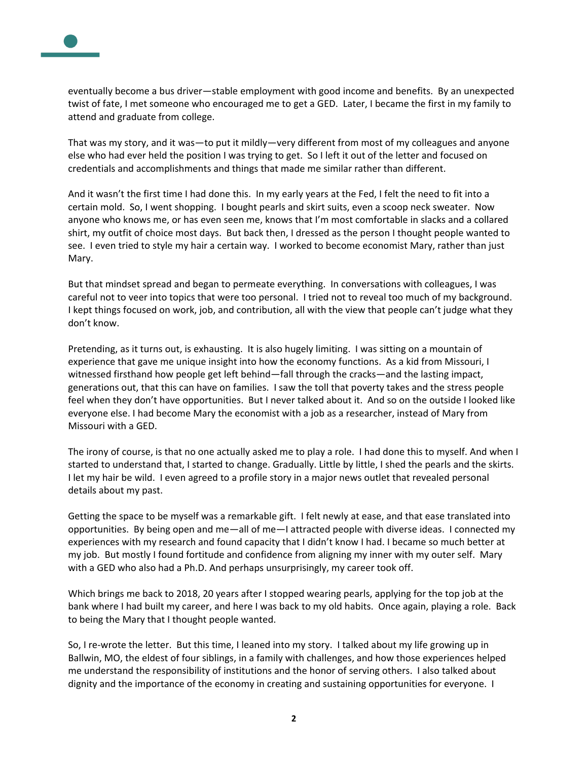

eventually become a bus driver—stable employment with good income and benefits. By an unexpected twist of fate, I met someone who encouraged me to get a GED. Later, I became the first in my family to attend and graduate from college.

That was my story, and it was—to put it mildly—very different from most of my colleagues and anyone else who had ever held the position I was trying to get. So I left it out of the letter and focused on credentials and accomplishments and things that made me similar rather than different.

And it wasn't the first time I had done this. In my early years at the Fed, I felt the need to fit into a certain mold. So, I went shopping. I bought pearls and skirt suits, even a scoop neck sweater. Now anyone who knows me, or has even seen me, knows that I'm most comfortable in slacks and a collared shirt, my outfit of choice most days. But back then, I dressed as the person I thought people wanted to see. I even tried to style my hair a certain way. I worked to become economist Mary, rather than just Mary.

But that mindset spread and began to permeate everything. In conversations with colleagues, I was careful not to veer into topics that were too personal. I tried not to reveal too much of my background. I kept things focused on work, job, and contribution, all with the view that people can't judge what they don't know.

Pretending, as it turns out, is exhausting. It is also hugely limiting. I was sitting on a mountain of experience that gave me unique insight into how the economy functions. As a kid from Missouri, I witnessed firsthand how people get left behind—fall through the cracks—and the lasting impact, generations out, that this can have on families. I saw the toll that poverty takes and the stress people feel when they don't have opportunities. But I never talked about it. And so on the outside I looked like everyone else. I had become Mary the economist with a job as a researcher, instead of Mary from Missouri with a GED.

The irony of course, is that no one actually asked me to play a role. I had done this to myself. And when I started to understand that, I started to change. Gradually. Little by little, I shed the pearls and the skirts. I let my hair be wild. I even agreed to a profile story in a major news outlet that revealed personal details about my past.

Getting the space to be myself was a remarkable gift. I felt newly at ease, and that ease translated into opportunities. By being open and me—all of me—I attracted people with diverse ideas. I connected my experiences with my research and found capacity that I didn't know I had. I became so much better at my job. But mostly I found fortitude and confidence from aligning my inner with my outer self. Mary with a GED who also had a Ph.D. And perhaps unsurprisingly, my career took off.

Which brings me back to 2018, 20 years after I stopped wearing pearls, applying for the top job at the bank where I had built my career, and here I was back to my old habits. Once again, playing a role. Back to being the Mary that I thought people wanted.

So, I re-wrote the letter. But this time, I leaned into my story. I talked about my life growing up in Ballwin, MO, the eldest of four siblings, in a family with challenges, and how those experiences helped me understand the responsibility of institutions and the honor of serving others. I also talked about dignity and the importance of the economy in creating and sustaining opportunities for everyone. I